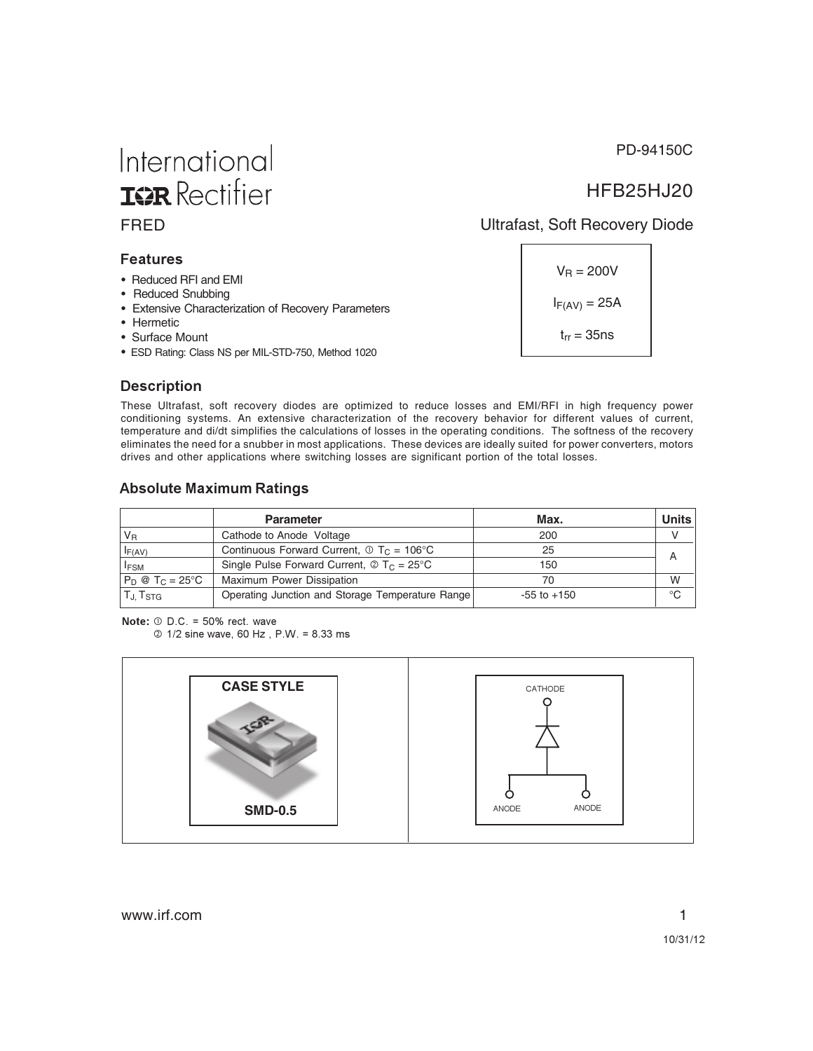PD-94150C

## HFB25HJ20

#### FRED Ultrafast, Soft Recovery Diode

#### **--**

• Reduced RFI and EMI

International

**IGR** Rectifier

- Reduced Snubbing
- Extensive Characterization of Recovery Parameters
- Hermetic
- Surface Mount
- ESD Rating: Class NS per MIL-STD-750, Method 1020

 $V_R = 200V$  $I_{F(AV)} = 25A$  $t_{rr} = 35$ ns

#### Description

These Ultrafast, soft recovery diodes are optimized to reduce losses and EMI/RFI in high frequency power conditioning systems. An extensive characterization of the recovery behavior for different values of current, temperature and di/dt simplifies the calculations of losses in the operating conditions. The softness of the recovery eliminates the need for a snubber in most applications. These devices are ideally suited for power converters, motors drives and other applications where switching losses are significant portion of the total losses.

#### **Absolute Maximum Ratings**

|                             | <b>Parameter</b>                                                                   | Max.            | Units       |
|-----------------------------|------------------------------------------------------------------------------------|-----------------|-------------|
| $V_{B}$                     | Cathode to Anode Voltage                                                           | 200             |             |
| $I_{F(AV)}$                 | Continuous Forward Current, $\Phi T_c = 106^{\circ}$ C                             | 25              |             |
| <b>IFSM</b>                 | Single Pulse Forward Current, $\textcircled{2}$ T <sub>C</sub> = 25 <sup>°</sup> C | 150             |             |
| $P_D @ T_C = 25^{\circ}C$   | Maximum Power Dissipation                                                          | 70              | W           |
| $T_{\rm J}$ , $T_{\rm STG}$ | Operating Junction and Storage Temperature Range                                   | $-55$ to $+150$ | $^{\circ}C$ |

**Note:**  $\odot$  D.C. = 50% rect. wave

2 1/2 sine wave, 60 Hz, P.W. = 8.33 ms

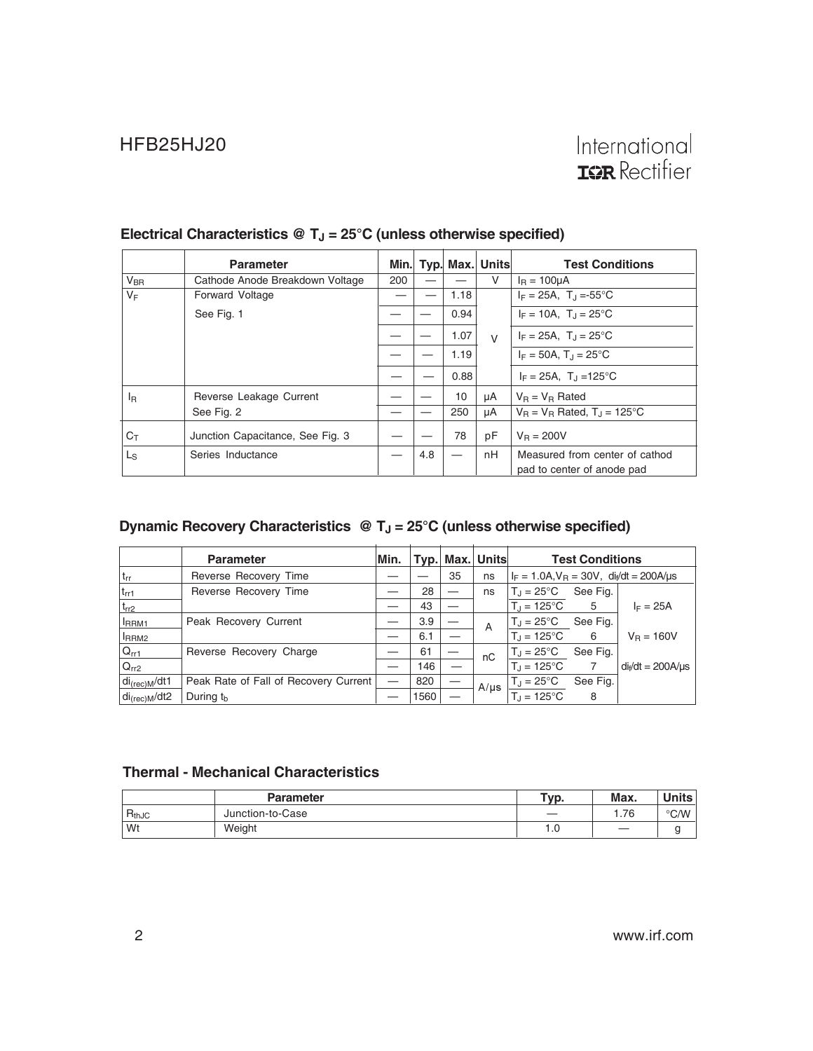|                 | <b>Parameter</b>                 |     |     |      | Min. Typ. Max. Units | <b>Test Conditions</b>                   |
|-----------------|----------------------------------|-----|-----|------|----------------------|------------------------------------------|
| $V_{\text{BR}}$ | Cathode Anode Breakdown Voltage  | 200 |     |      | V                    | $I_R = 100 \mu A$                        |
| $V_F$           | <b>Forward Voltage</b>           |     |     | 1.18 |                      | $I_F = 25A$ , T <sub>J</sub> =-55°C      |
|                 | See Fig. 1                       |     |     | 0.94 |                      | $I_F = 10A$ , $T_A = 25^{\circ}C$        |
|                 |                                  |     |     | 1.07 | $\vee$               | $I_F = 25A$ , $T_J = 25^{\circ}C$        |
|                 |                                  |     |     | 1.19 |                      | $I_F = 50A$ , $T_A = 25^{\circ}C$        |
|                 |                                  |     |     | 0.88 |                      | $I_F = 25A$ , $T_J = 125^{\circ}C$       |
| <sup>I</sup> R  | Reverse Leakage Current          |     |     | 10   | μA                   | $V_B = V_B$ Rated                        |
|                 | See Fig. 2                       |     |     | 250  | μA                   | $V_B = V_B$ Rated, $T_A = 125^{\circ}$ C |
| Cт              | Junction Capacitance, See Fig. 3 |     |     | 78   | pF                   | $V_B = 200V$                             |
| Ls              | Series Inductance                |     | 4.8 |      | nH                   | Measured from center of cathod           |
|                 |                                  |     |     |      |                      | pad to center of anode pad               |

## Electrical Characteristics @ T<sub>J</sub> = 25°C (unless otherwise specified)

## **Dynamic Recovery Characteristics @ T<sub>J</sub> = 25°C (unless otherwise specified)**

|                               | <b>Parameter</b>                      | Min. | Typ. |    | Max. Units | <b>Test Conditions</b>                            |          |                        |
|-------------------------------|---------------------------------------|------|------|----|------------|---------------------------------------------------|----------|------------------------|
| $ t_{rr} $                    | Reverse Recovery Time                 |      |      | 35 | ns         | $I_F = 1.0A$ , $V_B = 30V$ , $di/dt = 200A/\mu s$ |          |                        |
| $t_{rr1}$                     | Reverse Recovery Time                 |      | 28   |    | ns         | $T_{\rm d} = 25^{\circ}C$                         | See Fig. |                        |
| $t_{rr2}$                     |                                       |      | 43   |    |            | $T_{d} = 125^{\circ}C$                            | 5        | $I_F = 25A$            |
| <b>IRRM1</b>                  | Peak Recovery Current                 |      | 3.9  |    | A          | $T_{\rm d}$ = 25°C                                | See Fig. |                        |
| <sup>I</sup> RRM <sub>2</sub> |                                       |      | 6.1  |    |            | $T_{\rm d} = 125^{\circ}C$                        | -6       | $V_{B} = 160V$         |
| $Q_{rr1}$                     | Reverse Recovery Charge               |      | 61   |    | nC         | $T_J = 25^{\circ}C$                               | See Fig. |                        |
| $ Q_{rr2} $                   |                                       |      | 146  |    |            | $T_{d} = 125^{\circ}C$                            | 7        | $di_f/dt = 200A/\mu s$ |
| di <sub>(rec)M</sub> /dt1     | Peak Rate of Fall of Recovery Current | _    | 820  |    | $A/\mu s$  | $T_J = 25^{\circ}C$                               | See Fig. |                        |
| $di_{(rec)M}/dt2$             | During $th$                           |      | 1560 |    |            | $T_d = 125^{\circ}$ C                             | 8        |                        |

#### **Thermal - Mechanical Characteristics**

|            | <b>Parameter</b> | $TVD$ . | Max. | <b>Units</b>  |
|------------|------------------|---------|------|---------------|
| $R_{thJC}$ | Junction-to-Case |         | .76  | $\degree$ C/W |
| Wt         | Weight           | 1.C     |      |               |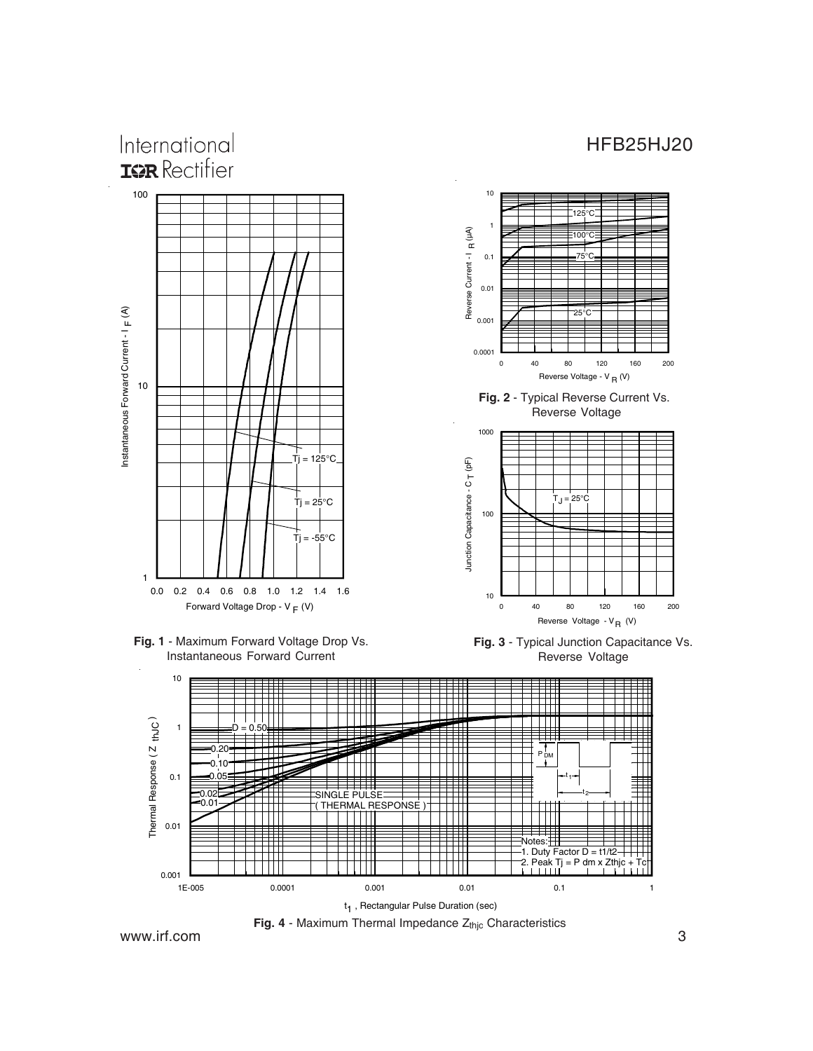

**Fig. 1** - Maximum Forward Voltage Drop Vs. Instantaneous Forward Current





www.irf.com 3 Fig. 4 - Maximum Thermal Impedance Z<sub>thjc</sub> Characteristics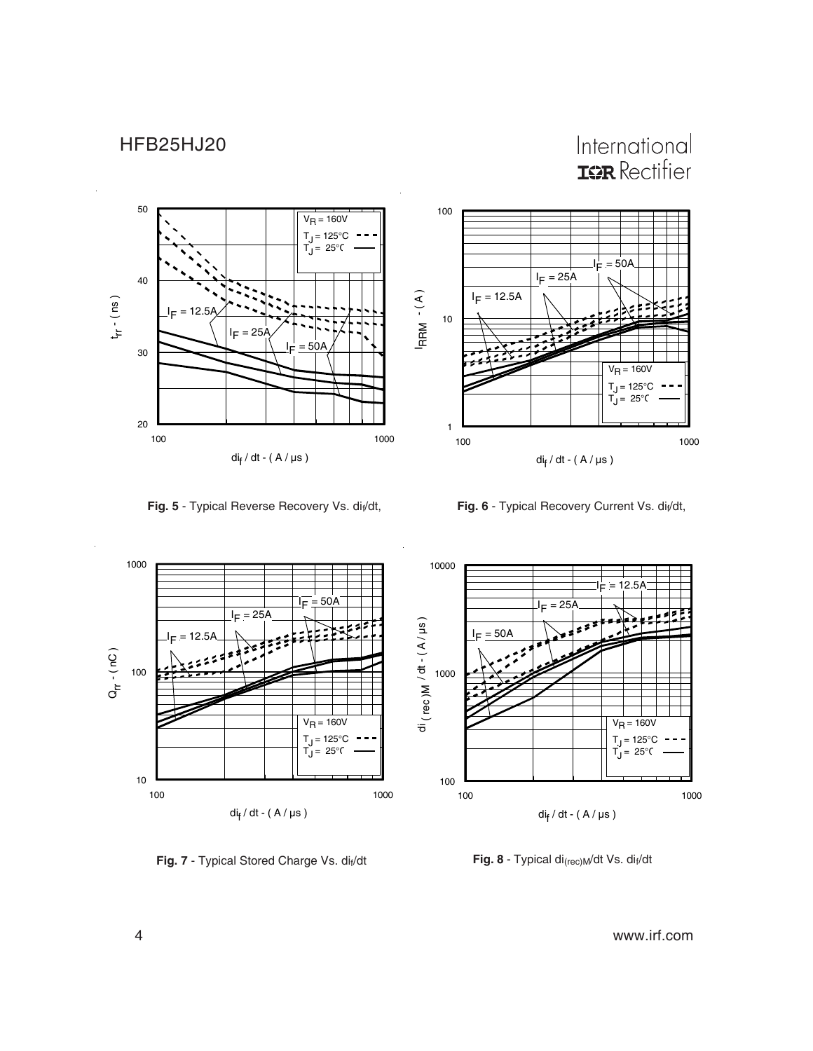## HFB25HJ20

# International **ISR** Rectifier



Fig. 5 - Typical Reverse Recovery Vs. di<sub>f</sub>/dt, **Fig. 6** - Typical Recovery Current Vs. di<sub>f</sub>/dt,